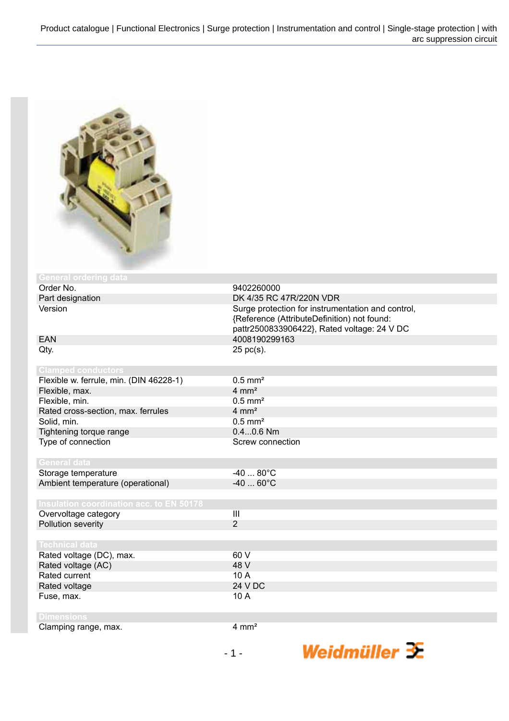

| <b>General ordering data</b>                    |                                                                                                                                                 |
|-------------------------------------------------|-------------------------------------------------------------------------------------------------------------------------------------------------|
| Order No.                                       | 9402260000                                                                                                                                      |
| Part designation                                | DK 4/35 RC 47R/220N VDR                                                                                                                         |
| Version                                         | Surge protection for instrumentation and control,<br>{Reference (AttributeDefinition) not found:<br>pattr2500833906422}, Rated voltage: 24 V DC |
| <b>EAN</b>                                      | 4008190299163                                                                                                                                   |
| Qty.                                            | 25 pc(s).                                                                                                                                       |
| <b>Clamped conductors</b>                       |                                                                                                                                                 |
| Flexible w. ferrule, min. (DIN 46228-1)         | $0.5$ mm <sup>2</sup>                                                                                                                           |
| Flexible, max.                                  | $4 \, \text{mm}^2$                                                                                                                              |
| Flexible, min.                                  | $0.5$ mm <sup>2</sup>                                                                                                                           |
| Rated cross-section, max. ferrules              | $4 \text{ mm}^2$                                                                                                                                |
| Solid, min.                                     | $0.5$ mm <sup>2</sup>                                                                                                                           |
| Tightening torque range                         | $0.40.6$ Nm                                                                                                                                     |
| Type of connection                              | Screw connection                                                                                                                                |
| <b>General data</b>                             |                                                                                                                                                 |
| Storage temperature                             | $-4080^{\circ}$ C                                                                                                                               |
| Ambient temperature (operational)               | $-4060^{\circ}C$                                                                                                                                |
|                                                 |                                                                                                                                                 |
| <b>Insulation coordination acc. to EN 50178</b> |                                                                                                                                                 |
| Overvoltage category                            | $\overline{\mathbf{III}}$                                                                                                                       |
| Pollution severity                              | $\overline{2}$                                                                                                                                  |
|                                                 |                                                                                                                                                 |
| <b>Technical data</b>                           |                                                                                                                                                 |
| Rated voltage (DC), max.                        | 60 V                                                                                                                                            |
| Rated voltage (AC)                              | 48 V                                                                                                                                            |
| Rated current                                   | 10 A                                                                                                                                            |
| Rated voltage                                   | 24 V DC                                                                                                                                         |
| Fuse, max.                                      | 10 A                                                                                                                                            |
| <b>Dimensions</b>                               |                                                                                                                                                 |
| Clamping range, max.                            | $4 \text{ mm}^2$                                                                                                                                |

Weidmüller  $\mathcal{\mathcal{F}}$